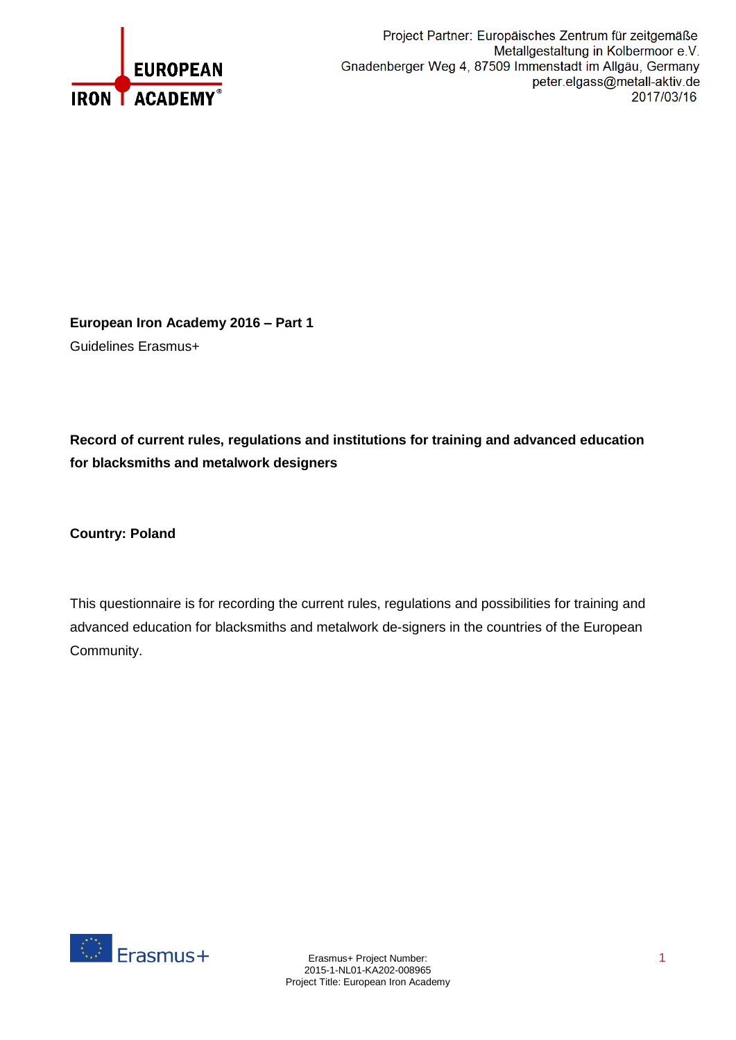

**European Iron Academy 2016 – Part 1** Guidelines Erasmus+

**Record of current rules, regulations and institutions for training and advanced education for blacksmiths and metalwork designers**

**Country: Poland**

This questionnaire is for recording the current rules, regulations and possibilities for training and advanced education for blacksmiths and metalwork de-signers in the countries of the European Community.

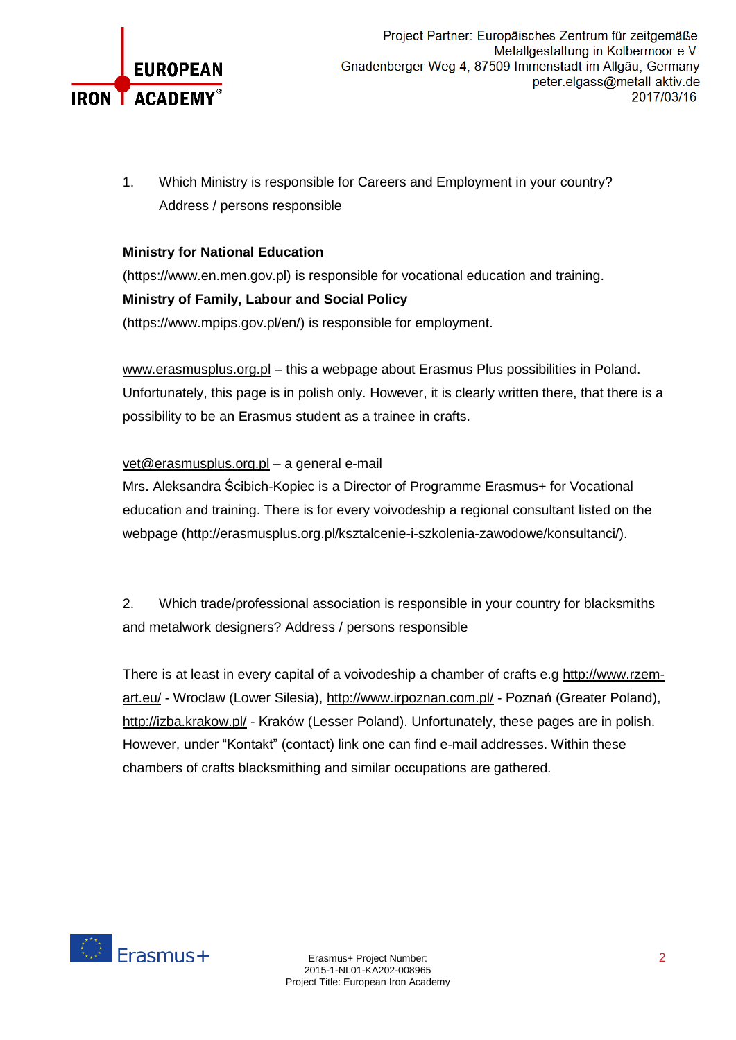

1. Which Ministry is responsible for Careers and Employment in your country? Address / persons responsible

## **Ministry for National Education**

(https://www.en.men.gov.pl) is responsible for vocational education and training. **Ministry of Family, Labour and Social Policy**

(https://www.mpips.gov.pl/en/) is responsible for employment.

[www.erasmusplus.org.pl](http://www.erasmusplus.org.pl/) – this a webpage about Erasmus Plus possibilities in Poland. Unfortunately, this page is in polish only. However, it is clearly written there, that there is a possibility to be an Erasmus student as a trainee in crafts.

#### [vet@erasmusplus.org.pl](mailto:vet@erasmusplus.org.pl) – a general e-mail

Mrs. Aleksandra Ścibich-Kopiec is a Director of Programme Erasmus+ for Vocational education and training. There is for every voivodeship a regional consultant listed on the webpage (http://erasmusplus.org.pl/ksztalcenie-i-szkolenia-zawodowe/konsultanci/).

2. Which trade/professional association is responsible in your country for blacksmiths and metalwork designers? Address / persons responsible

There is at least in every capital of a voivodeship a chamber of crafts e.g [http://www.rzem](http://www.rzem-art.eu/)[art.eu/](http://www.rzem-art.eu/) - Wroclaw (Lower Silesia), <http://www.irpoznan.com.pl/> - Poznań (Greater Poland), <http://izba.krakow.pl/> - Kraków (Lesser Poland). Unfortunately, these pages are in polish. However, under "Kontakt" (contact) link one can find e-mail addresses. Within these chambers of crafts blacksmithing and similar occupations are gathered.

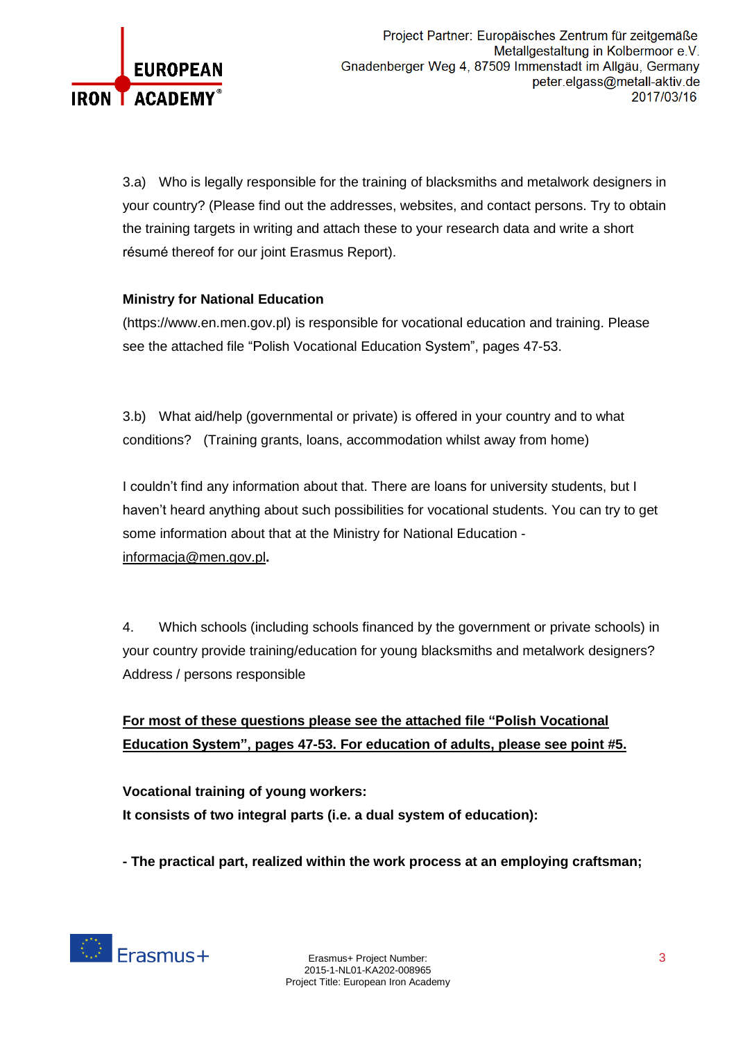

3.a) Who is legally responsible for the training of blacksmiths and metalwork designers in your country? (Please find out the addresses, websites, and contact persons. Try to obtain the training targets in writing and attach these to your research data and write a short résumé thereof for our joint Erasmus Report).

### **Ministry for National Education**

(https://www.en.men.gov.pl) is responsible for vocational education and training. Please see the attached file "Polish Vocational Education System", pages 47-53.

3.b) What aid/help (governmental or private) is offered in your country and to what conditions? (Training grants, loans, accommodation whilst away from home)

I couldn't find any information about that. There are loans for university students, but I haven't heard anything about such possibilities for vocational students. You can try to get some information about that at the Ministry for National Education [informacja@men.gov.pl](mailto:informacja@men.gov.pl)**.**

4. Which schools (including schools financed by the government or private schools) in your country provide training/education for young blacksmiths and metalwork designers? Address / persons responsible

## **For most of these questions please see the attached file "Polish Vocational Education System", pages 47-53. For education of adults, please see point #5.**

**Vocational training of young workers: It consists of two integral parts (i.e. a dual system of education):**

**- The practical part, realized within the work process at an employing craftsman;**

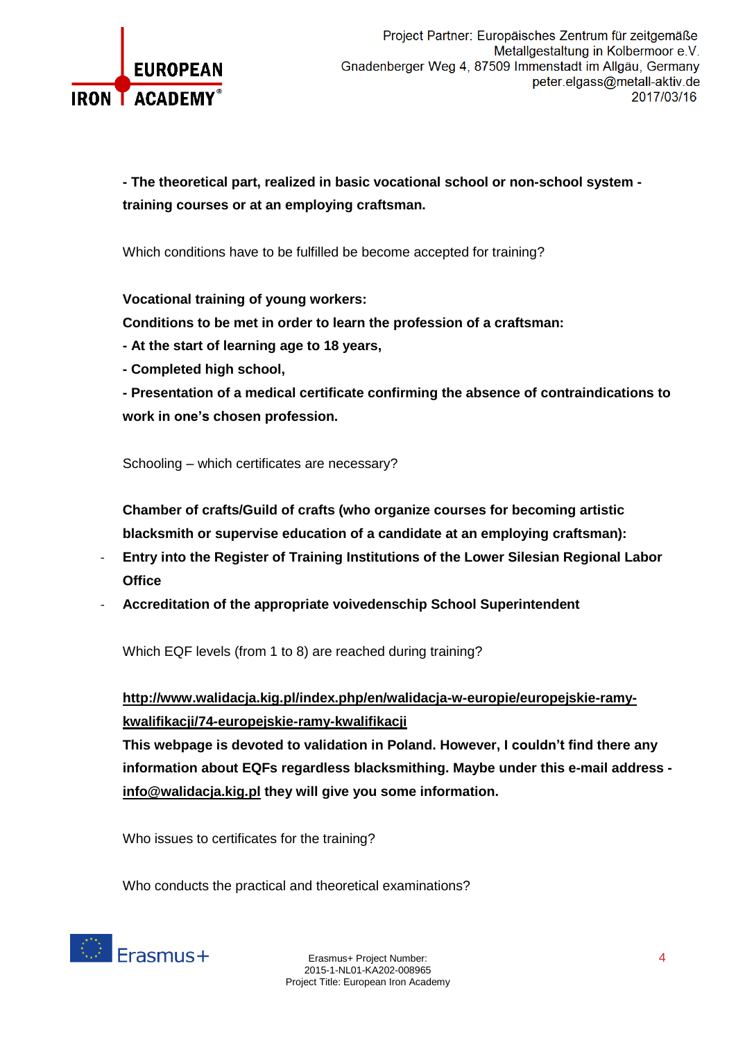

**- The theoretical part, realized in basic vocational school or non-school system training courses or at an employing craftsman.**

Which conditions have to be fulfilled be become accepted for training?

**Vocational training of young workers:**

**Conditions to be met in order to learn the profession of a craftsman:**

- **- At the start of learning age to 18 years,**
- **- Completed high school,**

**- Presentation of a medical certificate confirming the absence of contraindications to work in one's chosen profession.**

Schooling – which certificates are necessary?

**Chamber of crafts/Guild of crafts (who organize courses for becoming artistic blacksmith or supervise education of a candidate at an employing craftsman):**

- **Entry into the Register of Training Institutions of the Lower Silesian Regional Labor Office**
- **Accreditation of the appropriate voivedenschip School Superintendent**

Which EQF levels (from 1 to 8) are reached during training?

**[http://www.walidacja.kig.pl/index.php/en/walidacja-w-europie/europejskie-ramy](http://www.walidacja.kig.pl/index.php/en/walidacja-w-europie/europejskie-ramy-kwalifikacji/74-europejskie-ramy-kwalifikacji)[kwalifikacji/74-europejskie-ramy-kwalifikacji](http://www.walidacja.kig.pl/index.php/en/walidacja-w-europie/europejskie-ramy-kwalifikacji/74-europejskie-ramy-kwalifikacji)**

**This webpage is devoted to validation in Poland. However, I couldn't find there any information about EQFs regardless blacksmithing. Maybe under this e-mail address [info@walidacja.kig.pl](mailto:sekretariat@holdikom.com.pl) they will give you some information.**

Who issues to certificates for the training?

Who conducts the practical and theoretical examinations?

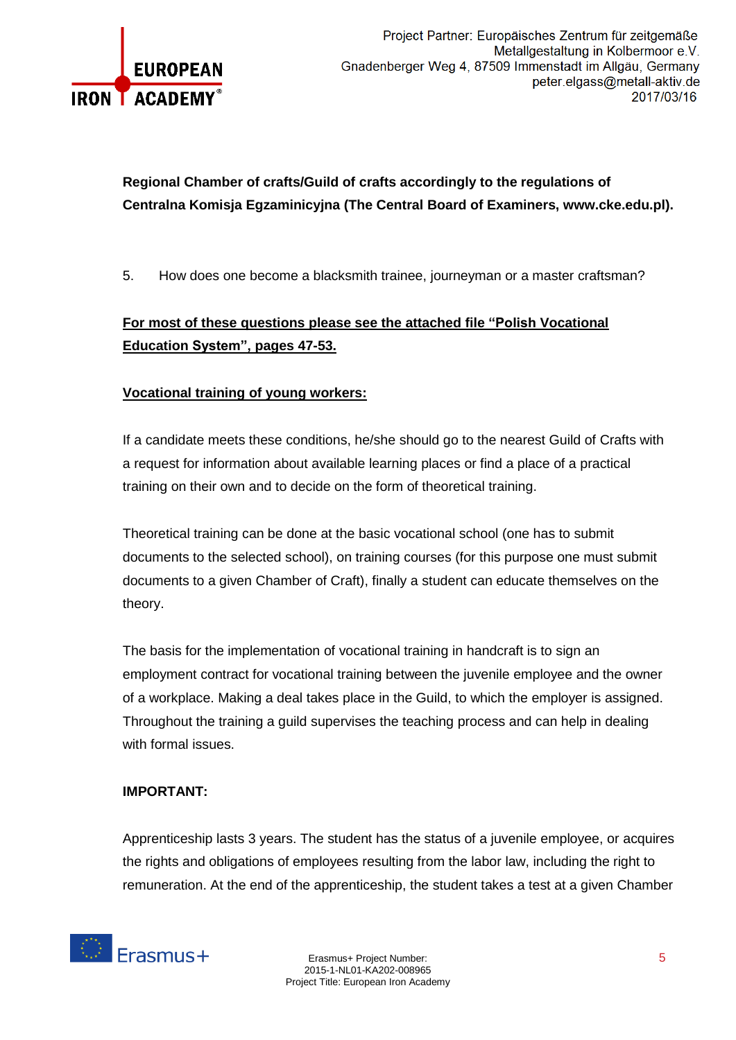

# **Regional Chamber of crafts/Guild of crafts accordingly to the regulations of Centralna Komisja Egzaminicyjna (The Central Board of Examiners, www.cke.edu.pl).**

5. How does one become a blacksmith trainee, journeyman or a master craftsman?

## **For most of these questions please see the attached file "Polish Vocational Education System", pages 47-53.**

### **Vocational training of young workers:**

If a candidate meets these conditions, he/she should go to the nearest Guild of Crafts with a request for information about available learning places or find a place of a practical training on their own and to decide on the form of theoretical training.

Theoretical training can be done at the basic vocational school (one has to submit documents to the selected school), on training courses (for this purpose one must submit documents to a given Chamber of Craft), finally a student can educate themselves on the theory.

The basis for the implementation of vocational training in handcraft is to sign an employment contract for vocational training between the juvenile employee and the owner of a workplace. Making a deal takes place in the Guild, to which the employer is assigned. Throughout the training a guild supervises the teaching process and can help in dealing with formal issues.

#### **IMPORTANT:**

Apprenticeship lasts 3 years. The student has the status of a juvenile employee, or acquires the rights and obligations of employees resulting from the labor law, including the right to remuneration. At the end of the apprenticeship, the student takes a test at a given Chamber

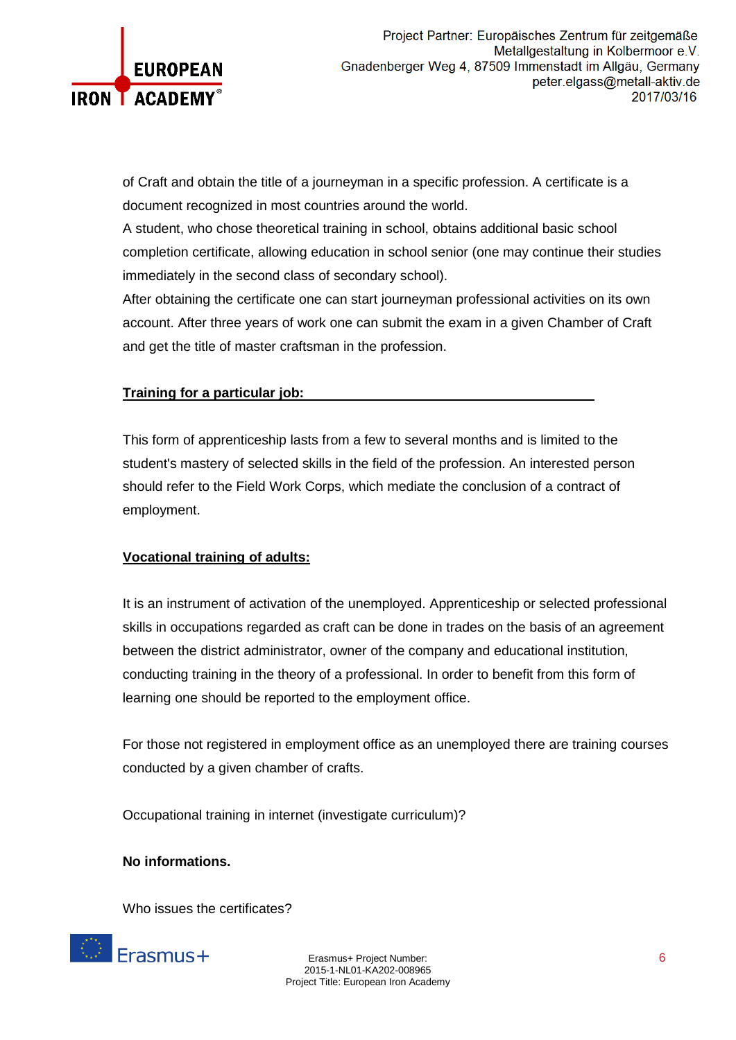

of Craft and obtain the title of a journeyman in a specific profession. A certificate is a document recognized in most countries around the world.

A student, who chose theoretical training in school, obtains additional basic school completion certificate, allowing education in school senior (one may continue their studies immediately in the second class of secondary school).

After obtaining the certificate one can start journeyman professional activities on its own account. After three years of work one can submit the exam in a given Chamber of Craft and get the title of master craftsman in the profession.

#### **Training for a particular job:**

This form of apprenticeship lasts from a few to several months and is limited to the student's mastery of selected skills in the field of the profession. An interested person should refer to the Field Work Corps, which mediate the conclusion of a contract of employment.

#### **Vocational training of adults:**

It is an instrument of activation of the unemployed. Apprenticeship or selected professional skills in occupations regarded as craft can be done in trades on the basis of an agreement between the district administrator, owner of the company and educational institution, conducting training in the theory of a professional. In order to benefit from this form of learning one should be reported to the employment office.

For those not registered in employment office as an unemployed there are training courses conducted by a given chamber of crafts.

Occupational training in internet (investigate curriculum)?

#### **No informations.**

Who issues the certificates?



Erasmus+ Project Number: 6 2015-1-NL01-KA202-008965 Project Title: European Iron Academy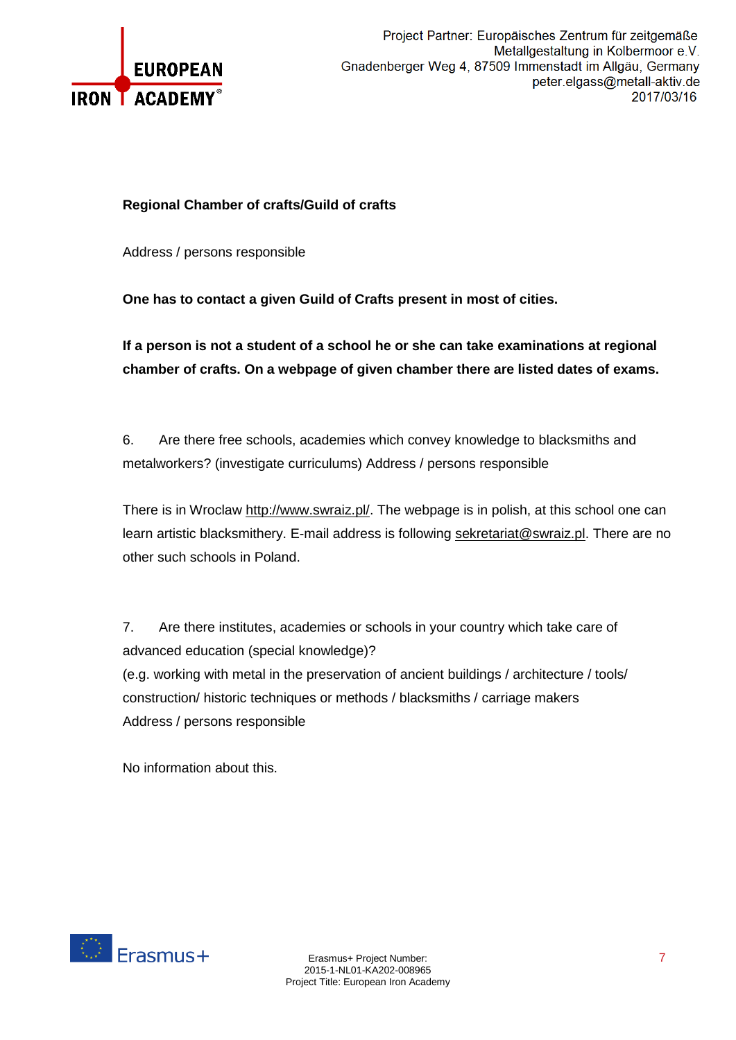

#### **Regional Chamber of crafts/Guild of crafts**

Address / persons responsible

**One has to contact a given Guild of Crafts present in most of cities.**

**If a person is not a student of a school he or she can take examinations at regional chamber of crafts. On a webpage of given chamber there are listed dates of exams.**

6. Are there free schools, academies which convey knowledge to blacksmiths and metalworkers? (investigate curriculums) Address / persons responsible

There is in Wroclaw [http://www.swraiz.pl/.](http://www.swraiz.pl/) The webpage is in polish, at this school one can learn artistic blacksmithery. E-mail address is following [sekretariat@swraiz.pl.](mailto:sekretariat@swraiz.pl) There are no other such schools in Poland.

7. Are there institutes, academies or schools in your country which take care of advanced education (special knowledge)? (e.g. working with metal in the preservation of ancient buildings / architecture / tools/ construction/ historic techniques or methods / blacksmiths / carriage makers Address / persons responsible

No information about this.